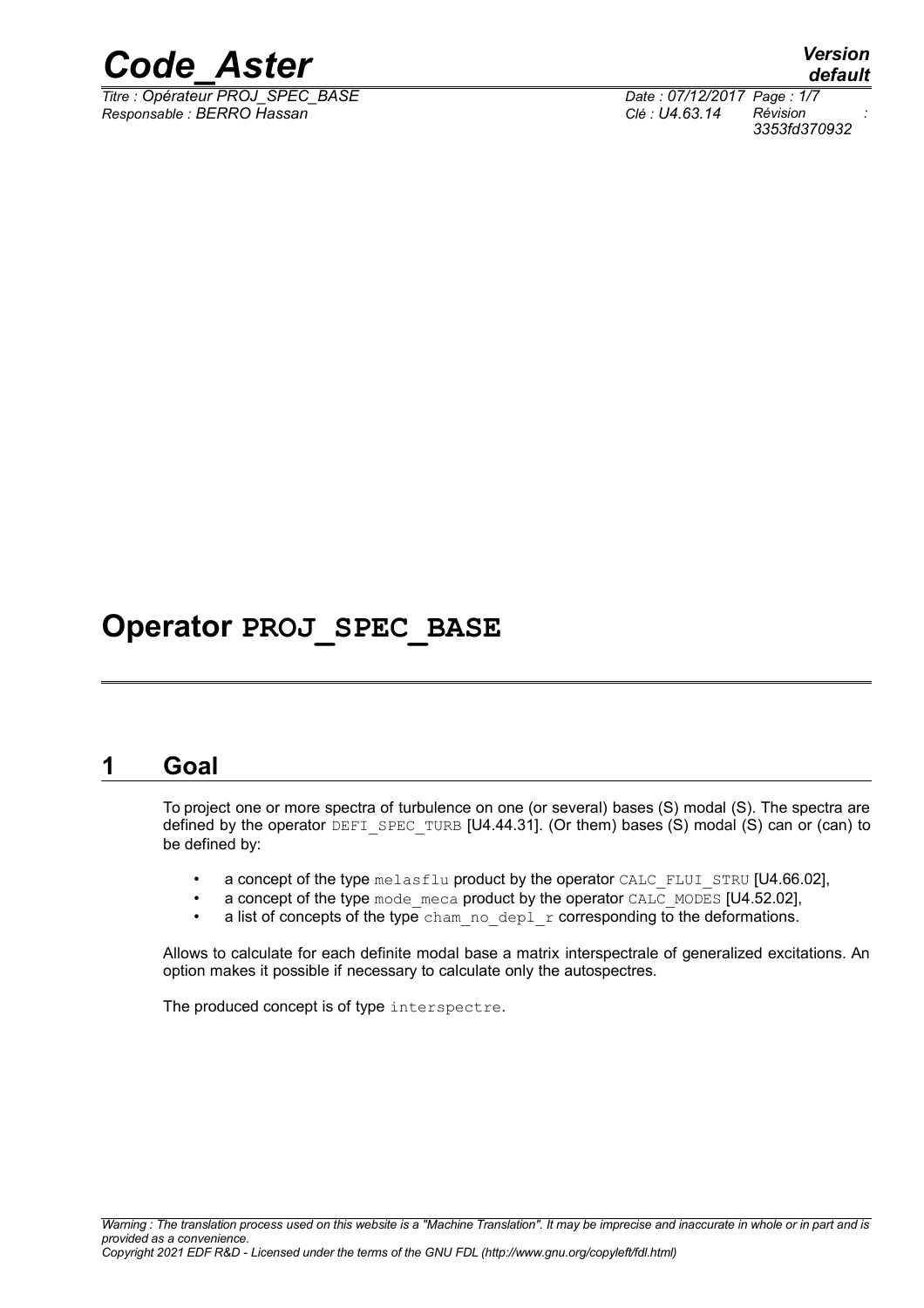

*Titre : Opérateur PROJ\_SPEC\_BASE Date : 07/12/2017 Page : 1/7 Responsable : BERRO Hassan Clé : U4.63.14 Révision :*

*default 3353fd370932*

# **Operator PROJ\_SPEC\_BASE**

# **1 Goal**

To project one or more spectra of turbulence on one (or several) bases (S) modal (S). The spectra are defined by the operator DEFI\_SPEC\_TURB  $[U4.44.31]$ . (Or them) bases (S) modal (S) can or (can) to be defined by:

- a concept of the type melasflu product by the operator CALC\_FLUI\_STRU  $[U4.66.02]$ ,
- a concept of the type mode  $\mu$  meca product by the operator CALC\_MODES [U4.52.02],
- a list of concepts of the type cham no depl  $r$  corresponding to the deformations.

Allows to calculate for each definite modal base a matrix interspectrale of generalized excitations. An option makes it possible if necessary to calculate only the autospectres.

The produced concept is of type interspectre.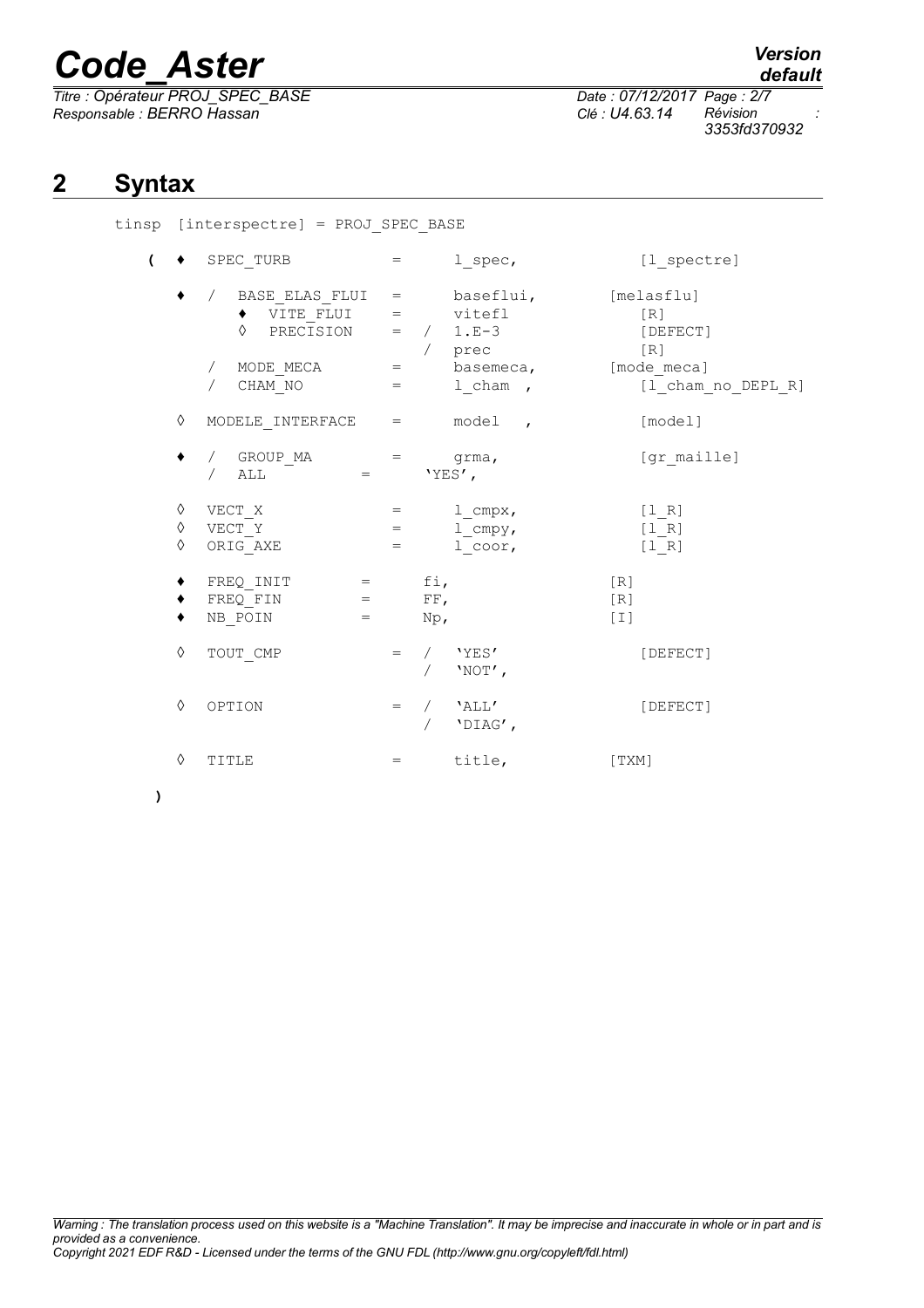*Titre : Opérateur PROJ\_SPEC\_BASE Date : 07/12/2017 Page : 2/7 Responsable : BERRO Hassan Clé : U4.63.14 Révision :*

*default*

*3353fd370932*

# **2 Syntax**

tinsp [interspectre] = PROJ\_SPEC\_BASE

| $\overline{ }$ |             | SPEC TURB                                                                                                                                                         |                     | $=$ $\sim$  | 1 spec,                                                          | [1 spectre]                                       |
|----------------|-------------|-------------------------------------------------------------------------------------------------------------------------------------------------------------------|---------------------|-------------|------------------------------------------------------------------|---------------------------------------------------|
|                |             | / BASE_ELAS_FLUI = baseflui, [melasflu]<br>$\bullet$ VITE_FLUI = vitefl [R]<br>$\Diamond$ PRECISION = / 1.E-3<br>/ MODE_MECA = basemeca, [mode_meca]<br>/ CHAM NO | $=$                 |             | / prec<br>1 cham,                                                | [DEFECT]<br>[R]<br>[1 cham no DEPL R]             |
|                | ♦           | MODELE INTERFACE $=$ model,                                                                                                                                       |                     |             |                                                                  | [model]                                           |
|                |             | / GROUP_MA = grma,<br>/ ALL = $YES',$                                                                                                                             |                     |             |                                                                  | [gr maille]                                       |
|                | ♦<br>♦<br>♦ | $VECT_X$<br>VECT Y<br>ORIG_AXE                                                                                                                                    | $=$ $-$             |             | $=$ $1_{\text{cmpx}}$ ,<br>$=$ $1_{\text{cmpy}}$ ,<br>$1$ _coor, | $[1_R]$<br>$[1_R]$<br>$[1 R]$                     |
|                |             | $FREQINIT = fi,$<br>$\begin{array}{rcl} \texttt{FREQ\_FIN} & = & \texttt{FF,} \end{array}$<br>NB_POIN<br><b>Service Contract Contract Contract Contract</b>       |                     | $Np_{\ell}$ |                                                                  | [R]<br>[R]<br>$\lceil$ $\lceil$ $\lceil$ $\lceil$ |
|                | ♦           | TOUT CMP                                                                                                                                                          |                     |             | $=$ / $'YES'$<br>$'NOT'$ ,                                       | [DEFECT]                                          |
|                | ♦           | OPTION                                                                                                                                                            |                     |             | $=$ / $'$ ALL'<br>/ $'$ DIAG',                                   | [DEFECT]                                          |
|                | ♦           | TITLE                                                                                                                                                             | $\equiv$ 1000 $\pm$ |             | title,                                                           | [TXM]                                             |

**)**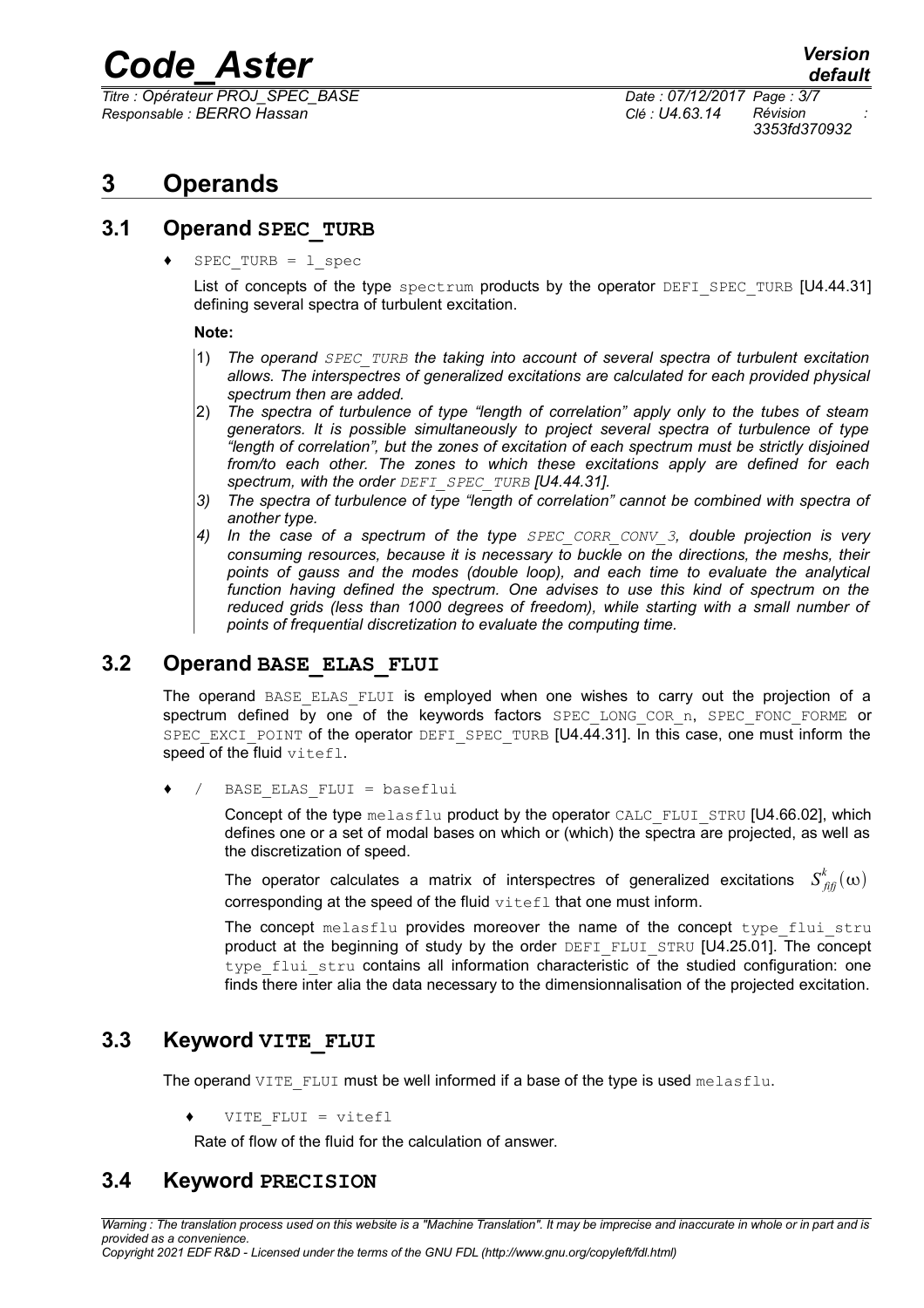*Titre : Opérateur PROJ\_SPEC\_BASE Date : 07/12/2017 Page : 3/7 Responsable : BERRO Hassan Clé : U4.63.14 Révision :*

*3353fd370932*

# **3 Operands**

## **3.1 Operand SPEC\_TURB**

 $SPEC$  TURB =  $1$  spec

List of concepts of the type spectrum products by the operator DEFI\_SPEC\_TURB [U4.44.31] defining several spectra of turbulent excitation.

#### **Note:**

- 1) *The operand SPEC\_TURB the taking into account of several spectra of turbulent excitation allows. The interspectres of generalized excitations are calculated for each provided physical spectrum then are added.*
- 2) *The spectra of turbulence of type "length of correlation" apply only to the tubes of steam generators. It is possible simultaneously to project several spectra of turbulence of type "length of correlation", but the zones of excitation of each spectrum must be strictly disjoined from/to each other. The zones to which these excitations apply are defined for each spectrum, with the order DEFI\_SPEC\_TURB [U4.44.31].*
- *3) The spectra of turbulence of type "length of correlation" cannot be combined with spectra of another type.*
- *4) In the case of a spectrum of the type SPEC\_CORR\_CONV\_3, double projection is very consuming resources, because it is necessary to buckle on the directions, the meshs, their points of gauss and the modes (double loop), and each time to evaluate the analytical function having defined the spectrum. One advises to use this kind of spectrum on the reduced grids (less than 1000 degrees of freedom), while starting with a small number of points of frequential discretization to evaluate the computing time.*

# **3.2 Operand BASE\_ELAS\_FLUI**

The operand BASE ELAS FLUI is employed when one wishes to carry out the projection of a spectrum defined by one of the keywords factors SPEC LONG COR n, SPEC FONC FORME or SPEC EXCI\_POINT of the operator DEFI\_SPEC\_TURB [U4.44.31]. In this case, one must inform the speed of the fluid vitefl.

/ BASE ELAS FLUI = baseflui

Concept of the type  $mela\text{sflu}$  product by the operator CALC\_FLUI\_STRU [U4.66.02], which defines one or a set of modal bases on which or (which) the spectra are projected, as well as the discretization of speed.

The operator calculates a matrix of interspectres of generalized excitations  $S^k_{\it fiff}(\omega)$ corresponding at the speed of the fluid vitefl that one must inform.

The concept melasflu provides moreover the name of the concept type flui stru product at the beginning of study by the order DEFI\_FLUI\_STRU [U4.25.01]. The concept type flui stru contains all information characteristic of the studied configuration: one finds there inter alia the data necessary to the dimensionnalisation of the projected excitation.

# **3.3 Keyword VITE\_FLUI**

The operand  $VITE$   $FLUI$  must be well informed if a base of the type is used melasflu.

VITE FLUI = vitefl

Rate of flow of the fluid for the calculation of answer.

# **3.4 Keyword PRECISION**

*Warning : The translation process used on this website is a "Machine Translation". It may be imprecise and inaccurate in whole or in part and is provided as a convenience. Copyright 2021 EDF R&D - Licensed under the terms of the GNU FDL (http://www.gnu.org/copyleft/fdl.html)*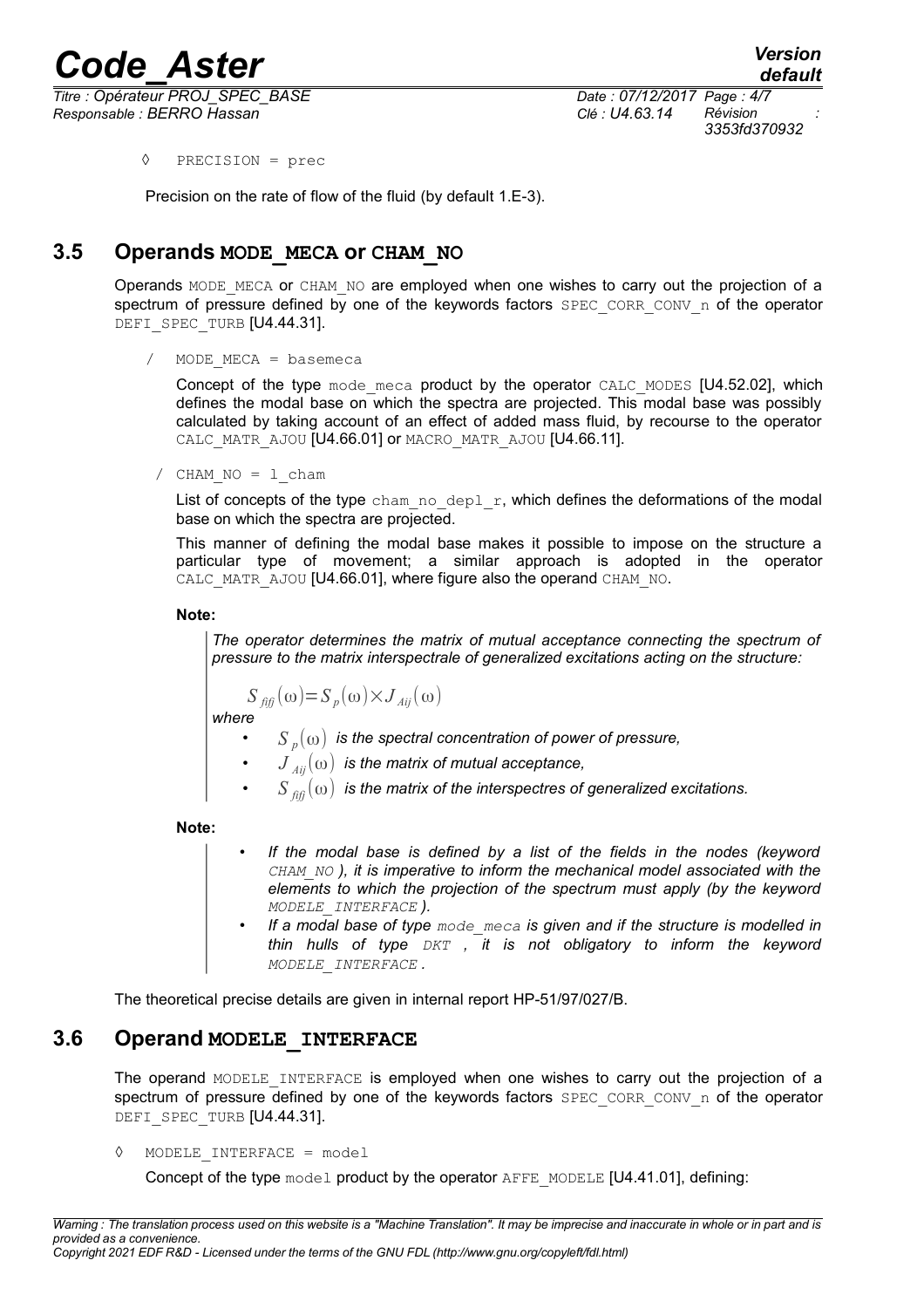*Titre : Opérateur PROJ\_SPEC\_BASE Date : 07/12/2017 Page : 4/7 Responsable : BERRO Hassan Clé : U4.63.14 Révision :*

*3353fd370932*

◊ PRECISION = prec

Precision on the rate of flow of the fluid (by default 1.E-3).

# **3.5 Operands MODE\_MECA or CHAM\_NO**

Operands MODE\_MECA or CHAM\_NO are employed when one wishes to carry out the projection of a spectrum of pressure defined by one of the keywords factors  $SPEC$  CORR CONV n of the operator DEFI\_SPEC\_TURB [U4.44.31].

```
/ MODE_MECA = basemeca
```
Concept of the type mode meca product by the operator CALC\_MODES [U4.52.02], which defines the modal base on which the spectra are projected. This modal base was possibly calculated by taking account of an effect of added mass fluid, by recourse to the operator CALC MATR AJOU [U4.66.01] or MACRO MATR AJOU [U4.66.11].

 $/$  CHAM NO = 1 cham

List of concepts of the type cham no depl  $r$ , which defines the deformations of the modal base on which the spectra are projected.

This manner of defining the modal base makes it possible to impose on the structure a particular type of movement; a similar approach is adopted in the operator CALC\_MATR\_AJOU [U4.66.01], where figure also the operand CHAM\_NO.

**Note:**

*The operator determines the matrix of mutual acceptance connecting the spectrum of pressure to the matrix interspectrale of generalized excitations acting on the structure:*

 $S_{f\hat{i}f\hat{j}}(\omega) = S_{p}(\omega) \times J_{Aij}(\omega)$ 

*where*

- *S <sup>p</sup>* (ω) *is the spectral concentration of power of pressure,*
- *J Aij*(ω) *is the matrix of mutual acceptance,*
- $\left\langle S\right\rangle_{\hat{f}f\hat{f}}(\omega)$  is the matrix of the interspectres of generalized excitations.

**Note:**

- *If the modal base is defined by a list of the fields in the nodes (keyword CHAM\_NO ), it is imperative to inform the mechanical model associated with the elements to which the projection of the spectrum must apply (by the keyword MODELE\_INTERFACE ).*
- *If a modal base of type mode\_meca is given and if the structure is modelled in thin hulls of type DKT , it is not obligatory to inform the keyword MODELE\_INTERFACE .*

The theoretical precise details are given in internal report HP-51/97/027/B.

## **3.6 Operand MODELE\_INTERFACE**

The operand MODELE INTERFACE is employed when one wishes to carry out the projection of a spectrum of pressure defined by one of the keywords factors  $SPEC$  CORR CONV n of the operator DEFI\_SPEC\_TURB [U4.44.31].

◊ MODELE\_INTERFACE = model

Concept of the type  $model$  product by the operator  $A$ FFE\_MODELE [U4.41.01], defining: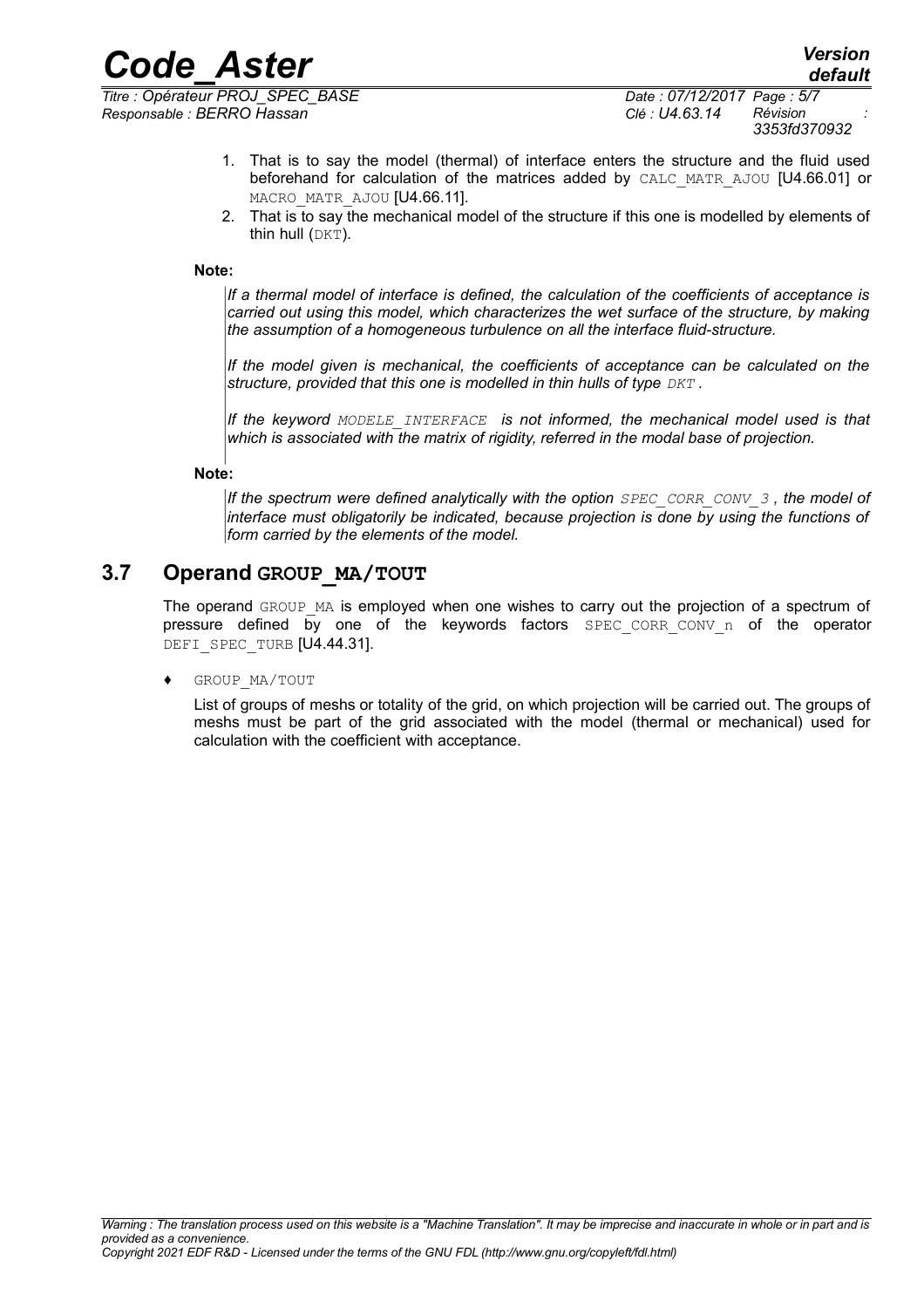*Responsable : BERRO Hassan Clé : U4.63.14 Révision :*

- 1. That is to say the model (thermal) of interface enters the structure and the fluid used beforehand for calculation of the matrices added by CALC\_MATR\_AJOU [U4.66.01] or MACRO\_MATR\_AJOU [U4.66.11].
- 2. That is to say the mechanical model of the structure if this one is modelled by elements of thin hull (DKT).

#### **Note:**

*If a thermal model of interface is defined, the calculation of the coefficients of acceptance is carried out using this model, which characterizes the wet surface of the structure, by making the assumption of a homogeneous turbulence on all the interface fluid-structure.*

*If the model given is mechanical, the coefficients of acceptance can be calculated on the structure, provided that this one is modelled in thin hulls of type DKT .*

*If the keyword MODELE\_INTERFACE is not informed, the mechanical model used is that which is associated with the matrix of rigidity, referred in the modal base of projection.*

#### **Note:**

*If the spectrum were defined analytically with the option SPEC\_CORR\_CONV\_3 , the model of interface must obligatorily be indicated, because projection is done by using the functions of form carried by the elements of the model.*

## **3.7 Operand GROUP\_MA/TOUT**

The operand GROUP MA is employed when one wishes to carry out the projection of a spectrum of pressure defined by one of the keywords factors SPEC CORR CONV n of the operator DEFI\_SPEC\_TURB [U4.44.31].

#### GROUP MA/TOUT

List of groups of meshs or totality of the grid, on which projection will be carried out. The groups of meshs must be part of the grid associated with the model (thermal or mechanical) used for calculation with the coefficient with acceptance.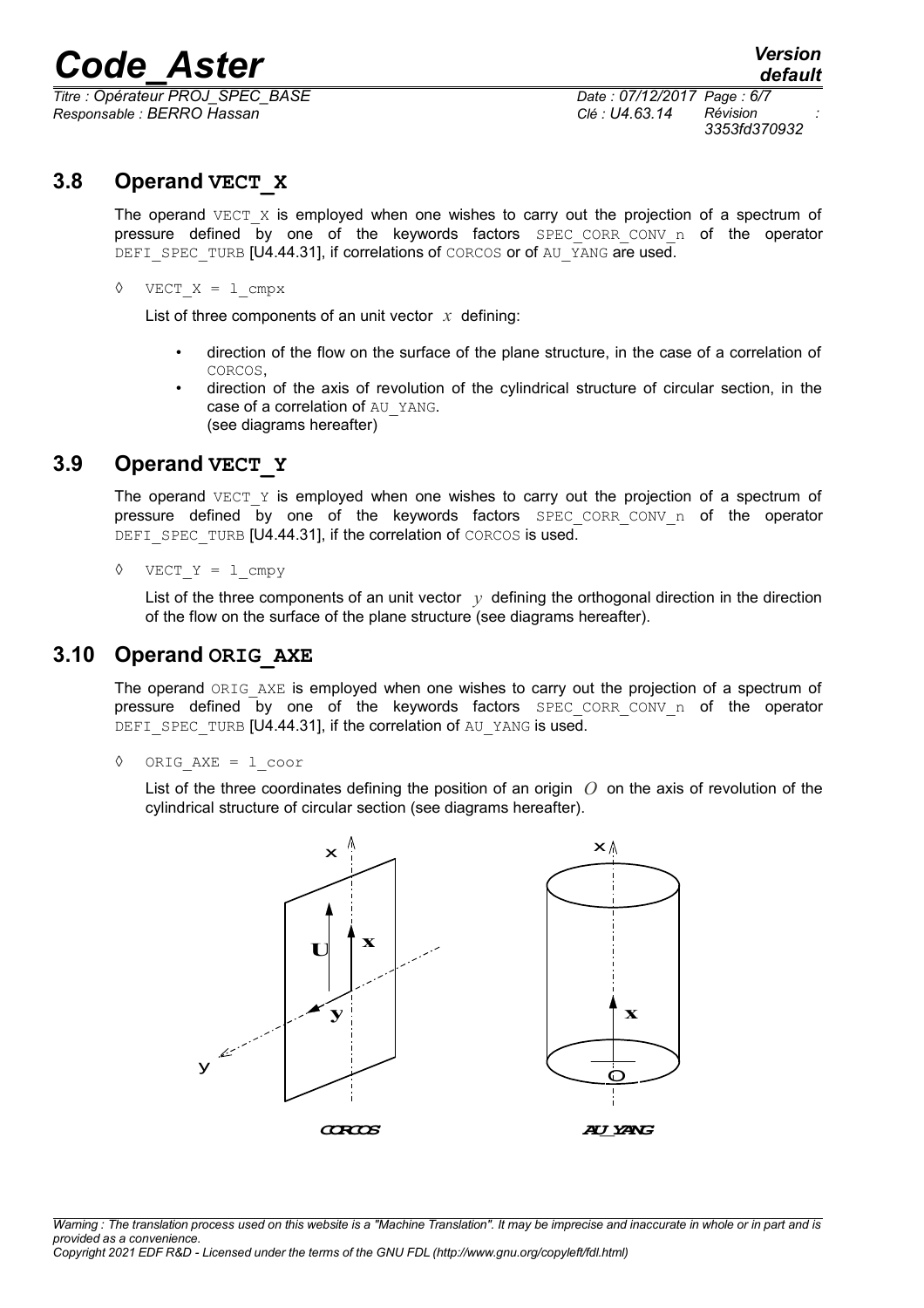*Titre : Opérateur PROJ\_SPEC\_BASE Date : 07/12/2017 Page : 6/7 Responsable : BERRO Hassan Clé : U4.63.14 Révision :*

*3353fd370932*

# **3.8 Operand VECT\_X**

The operand  $VECT X$  is employed when one wishes to carry out the projection of a spectrum of pressure defined by one of the keywords factors SPEC CORR CONV n of the operator DEFI\_SPEC\_TURB [U4.44.31], if correlations of CORCOS or of AU\_YANG are used.

 $\Diamond$  VECT X = 1 cmpx

List of three components of an unit vector *x* defining:

- direction of the flow on the surface of the plane structure, in the case of a correlation of CORCOS,
- direction of the axis of revolution of the cylindrical structure of circular section, in the case of a correlation of AU\_YANG. (see diagrams hereafter)

## **3.9 Operand VECT\_Y**

The operand  $VECT Y$  is employed when one wishes to carry out the projection of a spectrum of pressure defined by one of the keywords factors SPEC CORR CONV n of the operator DEFI\_SPEC\_TURB [U4.44.31], if the correlation of CORCOS is used.

 $\Diamond$  VECT Y = 1 cmpv

List of the three components of an unit vector  $y$  defining the orthogonal direction in the direction of the flow on the surface of the plane structure (see diagrams hereafter).

### **3.10 Operand ORIG\_AXE**

The operand ORIG AXE is employed when one wishes to carry out the projection of a spectrum of pressure defined by one of the keywords factors SPEC CORR CONV n of the operator DEFI\_SPEC\_TURB [U4.44.31], if the correlation of AU\_YANG is used.

◊ ORIG\_AXE = l\_coor

List of the three coordinates defining the position of an origin *O* on the axis of revolution of the cylindrical structure of circular section (see diagrams hereafter).



*Warning : The translation process used on this website is a "Machine Translation". It may be imprecise and inaccurate in whole or in part and is provided as a convenience. Copyright 2021 EDF R&D - Licensed under the terms of the GNU FDL (http://www.gnu.org/copyleft/fdl.html)*